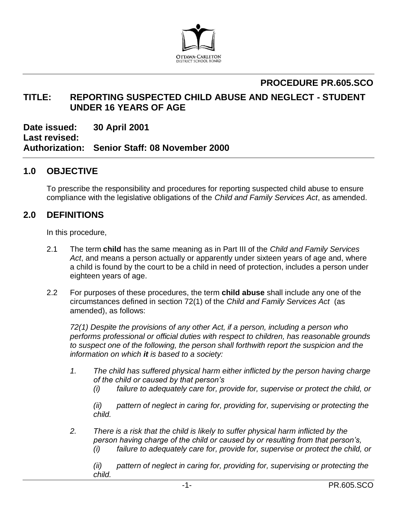

# **PROCEDURE PR.605.SCO**

## **TITLE: REPORTING SUSPECTED CHILD ABUSE AND NEGLECT - STUDENT UNDER 16 YEARS OF AGE**

**Date issued: 30 April 2001 Last revised: Authorization: Senior Staff: 08 November 2000**

## **1.0 OBJECTIVE**

To prescribe the responsibility and procedures for reporting suspected child abuse to ensure compliance with the legislative obligations of the *Child and Family Services Act*, as amended.

## **2.0 DEFINITIONS**

In this procedure,

- 2.1 The term **child** has the same meaning as in Part III of the *Child and Family Services Act*, and means a person actually or apparently under sixteen years of age and, where a child is found by the court to be a child in need of protection, includes a person under eighteen years of age.
- 2.2 For purposes of these procedures, the term **child abuse** shall include any one of the circumstances defined in section 72(1) of the *Child and Family Services Act* (as amended), as follows:

*72(1) Despite the provisions of any other Act, if a person, including a person who performs professional or official duties with respect to children, has reasonable grounds to suspect one of the following, the person shall forthwith report the suspicion and the information on which it is based to a society:*

- *1. The child has suffered physical harm either inflicted by the person having charge of the child or caused by that person's* 
	- *(i) failure to adequately care for, provide for, supervise or protect the child, or*

*(ii) pattern of neglect in caring for, providing for, supervising or protecting the child.*

*2. There is a risk that the child is likely to suffer physical harm inflicted by the person having charge of the child or caused by or resulting from that person's,*

*(i) failure to adequately care for, provide for, supervise or protect the child, or*

*(ii) pattern of neglect in caring for, providing for, supervising or protecting the child.*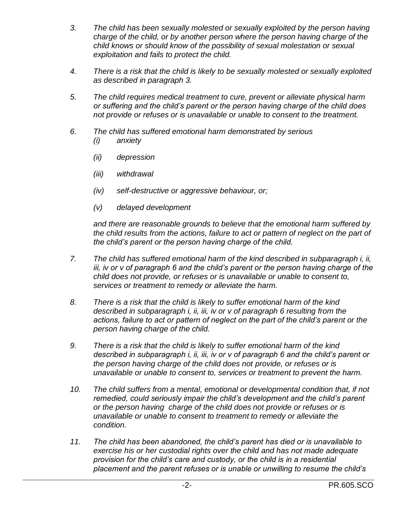- *3. The child has been sexually molested or sexually exploited by the person having charge of the child, or by another person where the person having charge of the child knows or should know of the possibility of sexual molestation or sexual exploitation and fails to protect the child.*
- *4. There is a risk that the child is likely to be sexually molested or sexually exploited as described in paragraph 3.*
- *5. The child requires medical treatment to cure, prevent or alleviate physical harm or suffering and the child's parent or the person having charge of the child does not provide or refuses or is unavailable or unable to consent to the treatment.*
- *6. The child has suffered emotional harm demonstrated by serious (i) anxiety*
	- *(ii) depression*
	- *(iii) withdrawal*
	- *(iv) self-destructive or aggressive behaviour, or;*
	- *(v) delayed development*

*and there are reasonable grounds to believe that the emotional harm suffered by the child results from the actions, failure to act or pattern of neglect on the part of the child's parent or the person having charge of the child.* 

- *7. The child has suffered emotional harm of the kind described in subparagraph i, ii, iii, iv or v of paragraph 6 and the child's parent or the person having charge of the child does not provide, or refuses or is unavailable or unable to consent to, services or treatment to remedy or alleviate the harm.*
- *8. There is a risk that the child is likely to suffer emotional harm of the kind described in subparagraph i, ii, iii, iv or v of paragraph 6 resulting from the actions, failure to act or pattern of neglect on the part of the child's parent or the person having charge of the child.*
- *9. There is a risk that the child is likely to suffer emotional harm of the kind described in subparagraph i, ii, iii, iv or v of paragraph 6 and the child's parent or the person having charge of the child does not provide, or refuses or is unavailable or unable to consent to, services or treatment to prevent the harm.*
- *10. The child suffers from a mental, emotional or developmental condition that, if not remedied, could seriously impair the child's development and the child's parent or the person having charge of the child does not provide or refuses or is unavailable or unable to consent to treatment to remedy or alleviate the condition.*
- *11. The child has been abandoned, the child's parent has died or is unavailable to exercise his or her custodial rights over the child and has not made adequate provision for the child's care and custody, or the child is in a residential placement and the parent refuses or is unable or unwilling to resume the child's*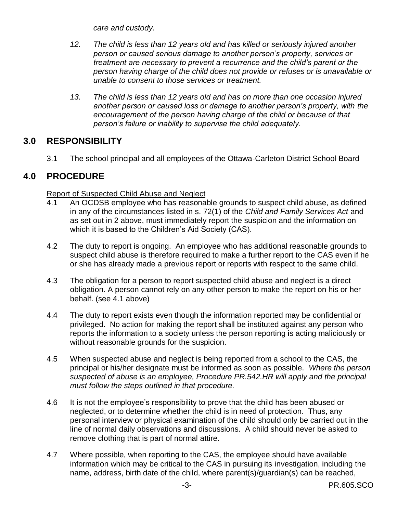*care and custody.*

- *12. The child is less than 12 years old and has killed or seriously injured another person or caused serious damage to another person's property, services or treatment are necessary to prevent a recurrence and the child's parent or the person having charge of the child does not provide or refuses or is unavailable or unable to consent to those services or treatment.*
- *13. The child is less than 12 years old and has on more than one occasion injured another person or caused loss or damage to another person's property, with the encouragement of the person having charge of the child or because of that person's failure or inability to supervise the child adequately.*

## **3.0 RESPONSIBILITY**

3.1 The school principal and all employees of the Ottawa-Carleton District School Board

## **4.0 PROCEDURE**

#### Report of Suspected Child Abuse and Neglect

- 4.1 An OCDSB employee who has reasonable grounds to suspect child abuse, as defined in any of the circumstances listed in s. 72(1) of the *Child and Family Services Act* and as set out in 2 above, must immediately report the suspicion and the information on which it is based to the Children's Aid Society (CAS).
- 4.2 The duty to report is ongoing. An employee who has additional reasonable grounds to suspect child abuse is therefore required to make a further report to the CAS even if he or she has already made a previous report or reports with respect to the same child.
- 4.3 The obligation for a person to report suspected child abuse and neglect is a direct obligation. A person cannot rely on any other person to make the report on his or her behalf. (see 4.1 above)
- 4.4 The duty to report exists even though the information reported may be confidential or privileged. No action for making the report shall be instituted against any person who reports the information to a society unless the person reporting is acting maliciously or without reasonable grounds for the suspicion.
- 4.5 When suspected abuse and neglect is being reported from a school to the CAS, the principal or his/her designate must be informed as soon as possible. *Where the person suspected of abuse is an employee, Procedure PR.542.HR will apply and the principal must follow the steps outlined in that procedure.*
- 4.6 It is not the employee's responsibility to prove that the child has been abused or neglected, or to determine whether the child is in need of protection. Thus, any personal interview or physical examination of the child should only be carried out in the line of normal daily observations and discussions. A child should never be asked to remove clothing that is part of normal attire.
- 4.7 Where possible, when reporting to the CAS, the employee should have available information which may be critical to the CAS in pursuing its investigation, including the name, address, birth date of the child, where parent(s)/guardian(s) can be reached,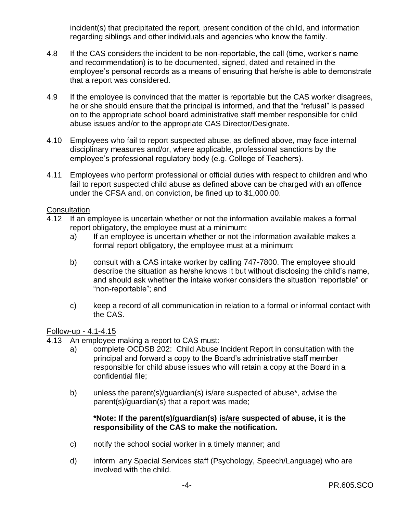incident(s) that precipitated the report, present condition of the child, and information regarding siblings and other individuals and agencies who know the family.

- 4.8 If the CAS considers the incident to be non-reportable, the call (time, worker's name and recommendation) is to be documented, signed, dated and retained in the employee's personal records as a means of ensuring that he/she is able to demonstrate that a report was considered.
- 4.9 If the employee is convinced that the matter is reportable but the CAS worker disagrees, he or she should ensure that the principal is informed, and that the "refusal" is passed on to the appropriate school board administrative staff member responsible for child abuse issues and/or to the appropriate CAS Director/Designate.
- 4.10 Employees who fail to report suspected abuse, as defined above, may face internal disciplinary measures and/or, where applicable, professional sanctions by the employee's professional regulatory body (e.g. College of Teachers).
- 4.11 Employees who perform professional or official duties with respect to children and who fail to report suspected child abuse as defined above can be charged with an offence under the CFSA and, on conviction, be fined up to \$1,000.00.

#### **Consultation**

- 4.12 If an employee is uncertain whether or not the information available makes a formal report obligatory, the employee must at a minimum:
	- a) If an employee is uncertain whether or not the information available makes a formal report obligatory, the employee must at a minimum:
	- b) consult with a CAS intake worker by calling 747-7800. The employee should describe the situation as he/she knows it but without disclosing the child's name, and should ask whether the intake worker considers the situation "reportable" or "non-reportable"; and
	- c) keep a record of all communication in relation to a formal or informal contact with the CAS.

#### Follow-up - 4.1-4.15

- 4.13 An employee making a report to CAS must:
	- a) complete OCDSB 202: Child Abuse Incident Report in consultation with the principal and forward a copy to the Board's administrative staff member responsible for child abuse issues who will retain a copy at the Board in a confidential file;
	- b) unless the parent(s)/guardian(s) is/are suspected of abuse\*, advise the parent(s)/guardian(s) that a report was made;

#### **\*Note: If the parent(s)/guardian(s) is/are suspected of abuse, it is the responsibility of the CAS to make the notification.**

- c) notify the school social worker in a timely manner; and
- d) inform any Special Services staff (Psychology, Speech/Language) who are involved with the child.